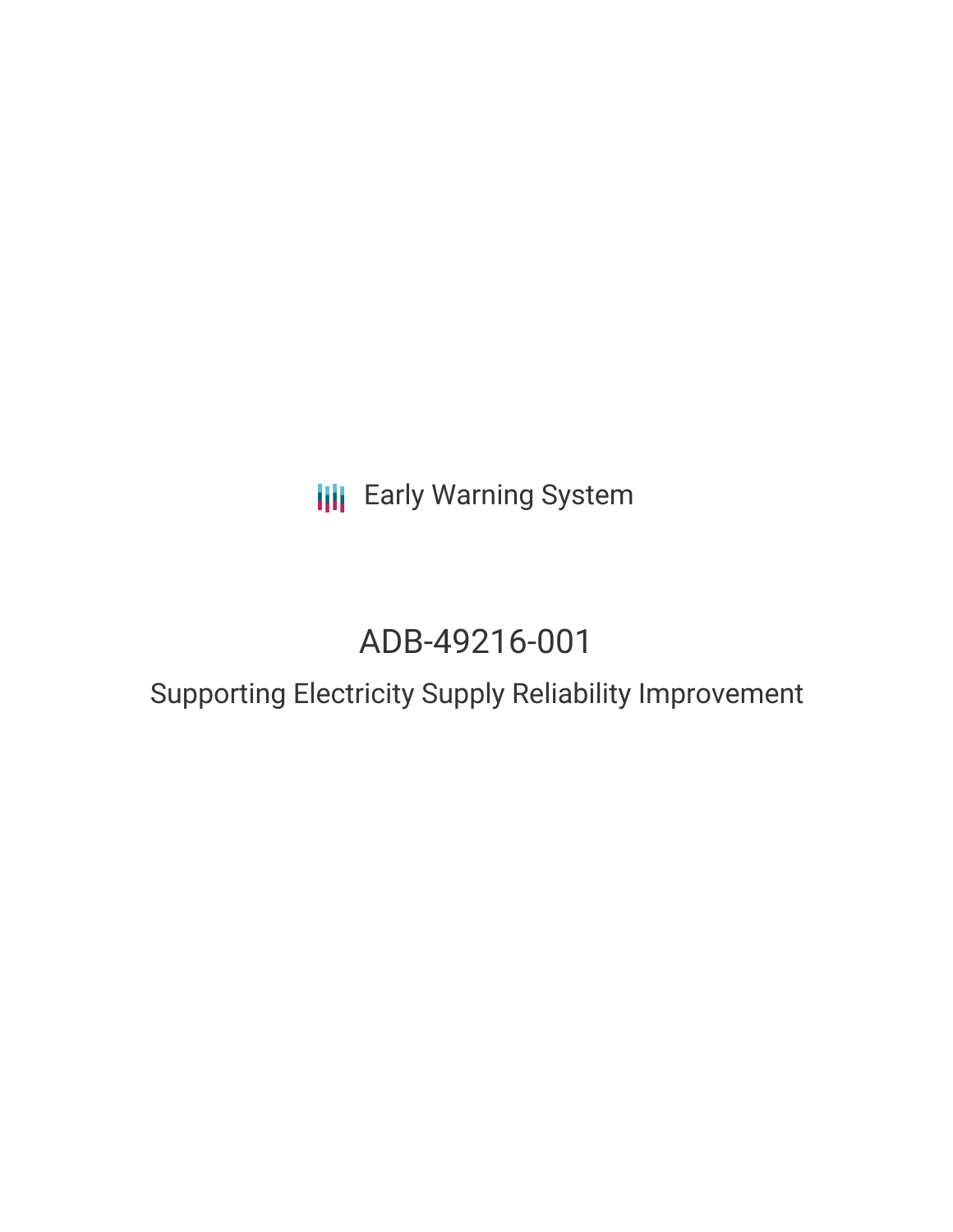**III** Early Warning System

# ADB-49216-001

# Supporting Electricity Supply Reliability Improvement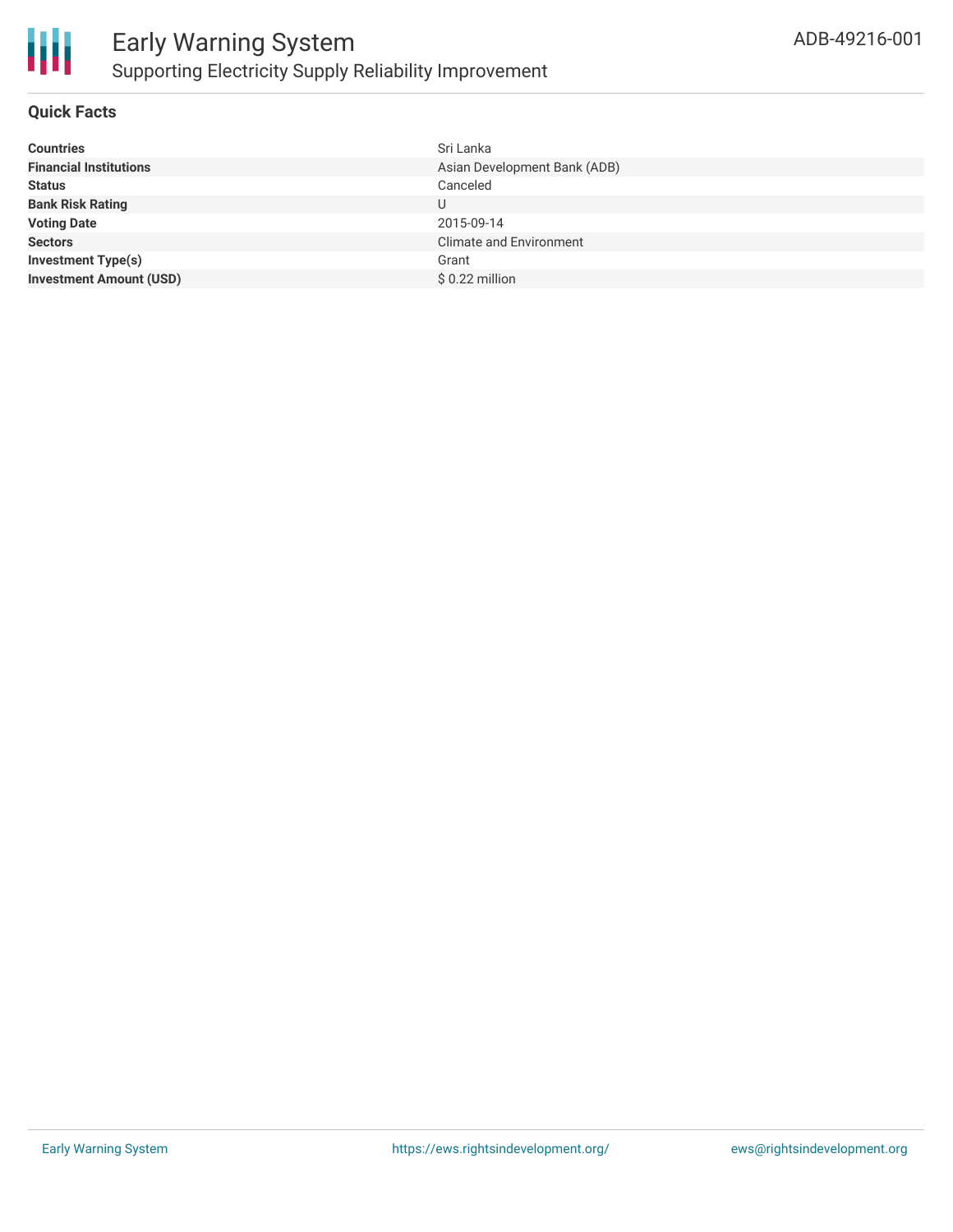

# **Quick Facts**

| <b>Countries</b>               | Sri Lanka                      |
|--------------------------------|--------------------------------|
| <b>Financial Institutions</b>  | Asian Development Bank (ADB)   |
| <b>Status</b>                  | Canceled                       |
| <b>Bank Risk Rating</b>        | U                              |
| <b>Voting Date</b>             | 2015-09-14                     |
| <b>Sectors</b>                 | <b>Climate and Environment</b> |
| <b>Investment Type(s)</b>      | Grant                          |
| <b>Investment Amount (USD)</b> | $$0.22$ million                |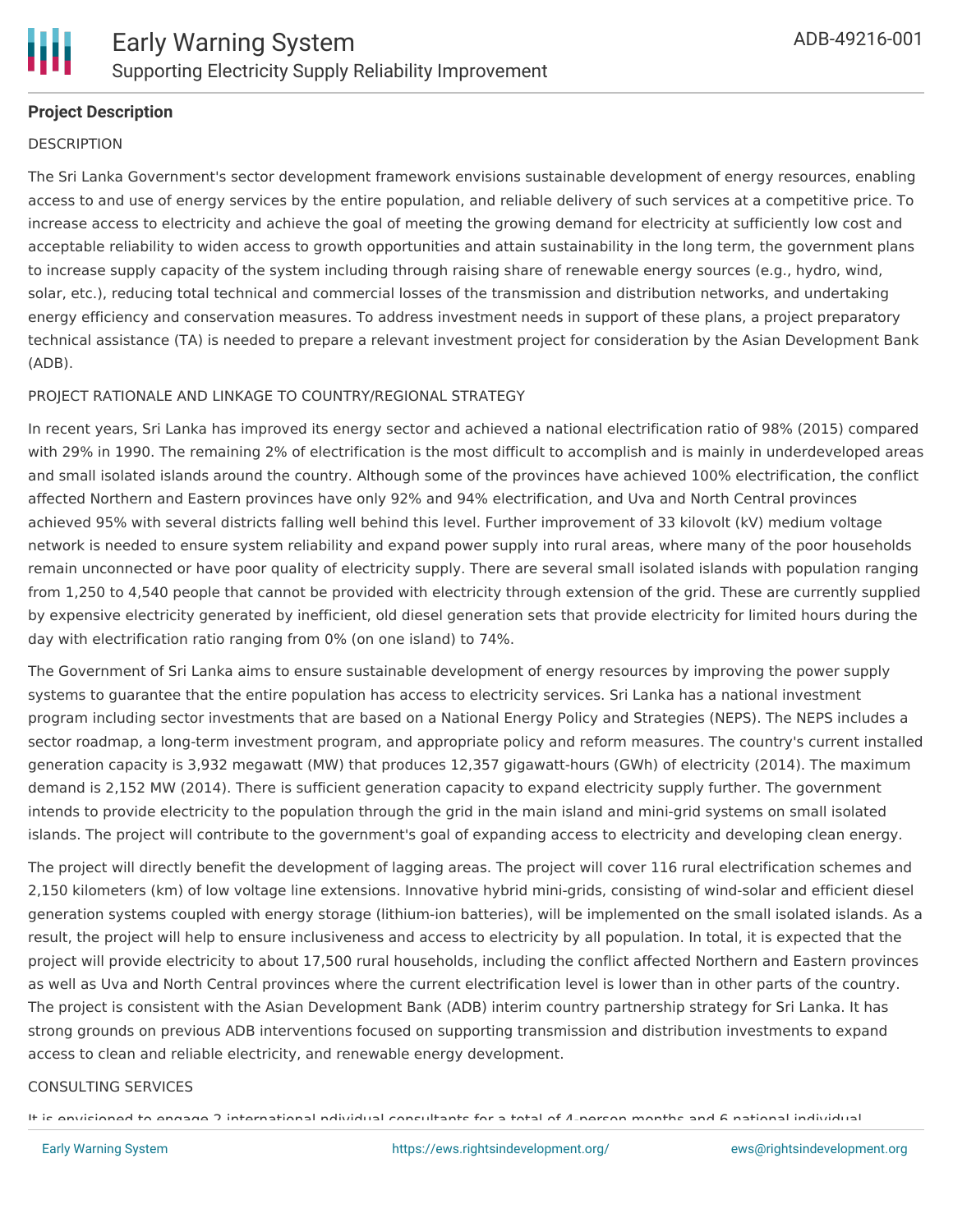

# **Project Description**

#### **DESCRIPTION**

The Sri Lanka Government's sector development framework envisions sustainable development of energy resources, enabling access to and use of energy services by the entire population, and reliable delivery of such services at a competitive price. To increase access to electricity and achieve the goal of meeting the growing demand for electricity at sufficiently low cost and acceptable reliability to widen access to growth opportunities and attain sustainability in the long term, the government plans to increase supply capacity of the system including through raising share of renewable energy sources (e.g., hydro, wind, solar, etc.), reducing total technical and commercial losses of the transmission and distribution networks, and undertaking energy efficiency and conservation measures. To address investment needs in support of these plans, a project preparatory technical assistance (TA) is needed to prepare a relevant investment project for consideration by the Asian Development Bank (ADB).

#### PROJECT RATIONALE AND LINKAGE TO COUNTRY/REGIONAL STRATEGY

In recent years, Sri Lanka has improved its energy sector and achieved a national electrification ratio of 98% (2015) compared with 29% in 1990. The remaining 2% of electrification is the most difficult to accomplish and is mainly in underdeveloped areas and small isolated islands around the country. Although some of the provinces have achieved 100% electrification, the conflict affected Northern and Eastern provinces have only 92% and 94% electrification, and Uva and North Central provinces achieved 95% with several districts falling well behind this level. Further improvement of 33 kilovolt (kV) medium voltage network is needed to ensure system reliability and expand power supply into rural areas, where many of the poor households remain unconnected or have poor quality of electricity supply. There are several small isolated islands with population ranging from 1,250 to 4,540 people that cannot be provided with electricity through extension of the grid. These are currently supplied by expensive electricity generated by inefficient, old diesel generation sets that provide electricity for limited hours during the day with electrification ratio ranging from 0% (on one island) to 74%.

The Government of Sri Lanka aims to ensure sustainable development of energy resources by improving the power supply systems to guarantee that the entire population has access to electricity services. Sri Lanka has a national investment program including sector investments that are based on a National Energy Policy and Strategies (NEPS). The NEPS includes a sector roadmap, a long-term investment program, and appropriate policy and reform measures. The country's current installed generation capacity is 3,932 megawatt (MW) that produces 12,357 gigawatt-hours (GWh) of electricity (2014). The maximum demand is 2,152 MW (2014). There is sufficient generation capacity to expand electricity supply further. The government intends to provide electricity to the population through the grid in the main island and mini-grid systems on small isolated islands. The project will contribute to the government's goal of expanding access to electricity and developing clean energy.

The project will directly benefit the development of lagging areas. The project will cover 116 rural electrification schemes and 2,150 kilometers (km) of low voltage line extensions. Innovative hybrid mini-grids, consisting of wind-solar and efficient diesel generation systems coupled with energy storage (lithium-ion batteries), will be implemented on the small isolated islands. As a result, the project will help to ensure inclusiveness and access to electricity by all population. In total, it is expected that the project will provide electricity to about 17,500 rural households, including the conflict affected Northern and Eastern provinces as well as Uva and North Central provinces where the current electrification level is lower than in other parts of the country. The project is consistent with the Asian Development Bank (ADB) interim country partnership strategy for Sri Lanka. It has strong grounds on previous ADB interventions focused on supporting transmission and distribution investments to expand access to clean and reliable electricity, and renewable energy development.

#### CONSULTING SERVICES

It is envisioned to engage 2 international ndividual consultants for a total of 4-person months and 6 national individual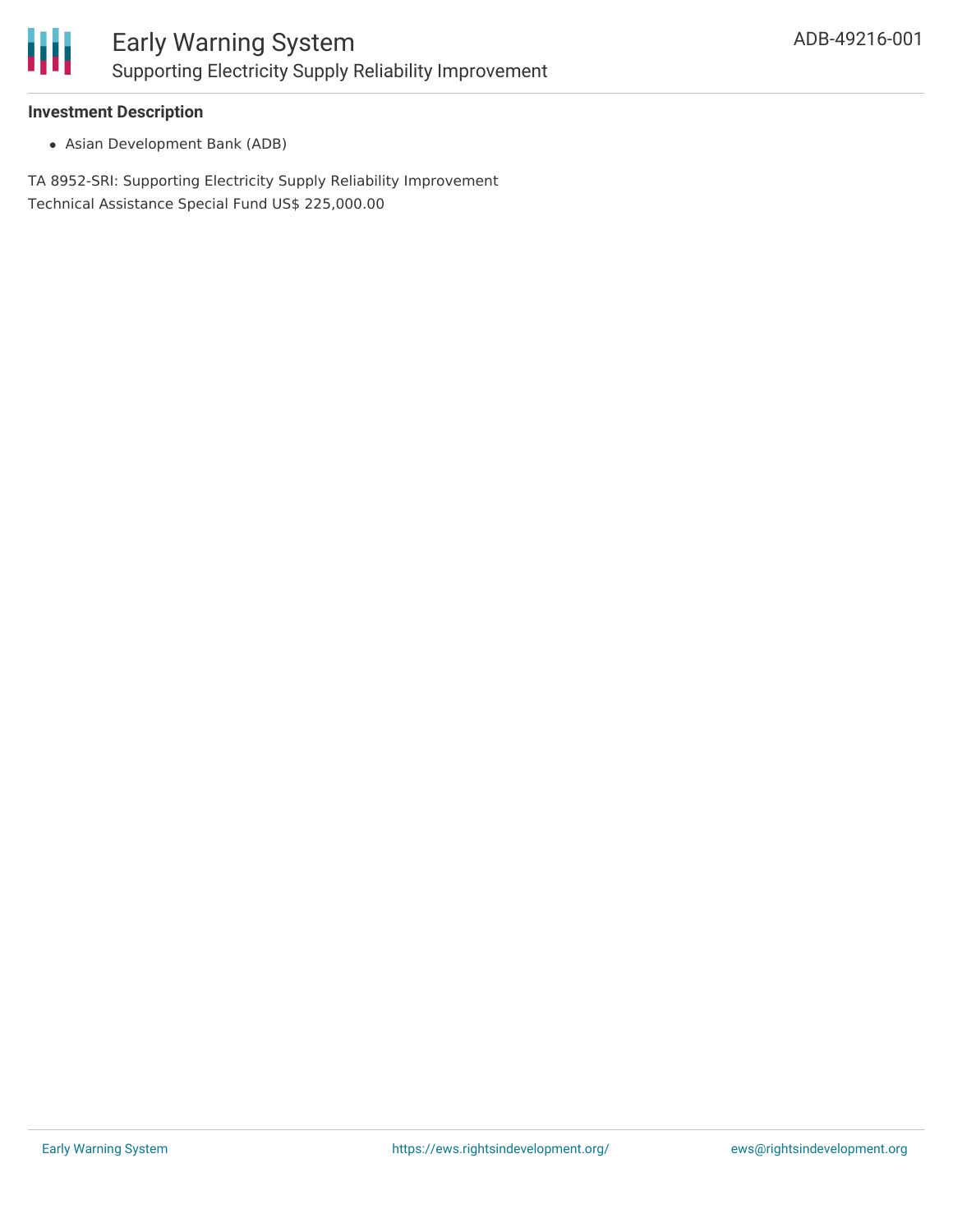

### **Investment Description**

Asian Development Bank (ADB)

TA 8952-SRI: Supporting Electricity Supply Reliability Improvement Technical Assistance Special Fund US\$ 225,000.00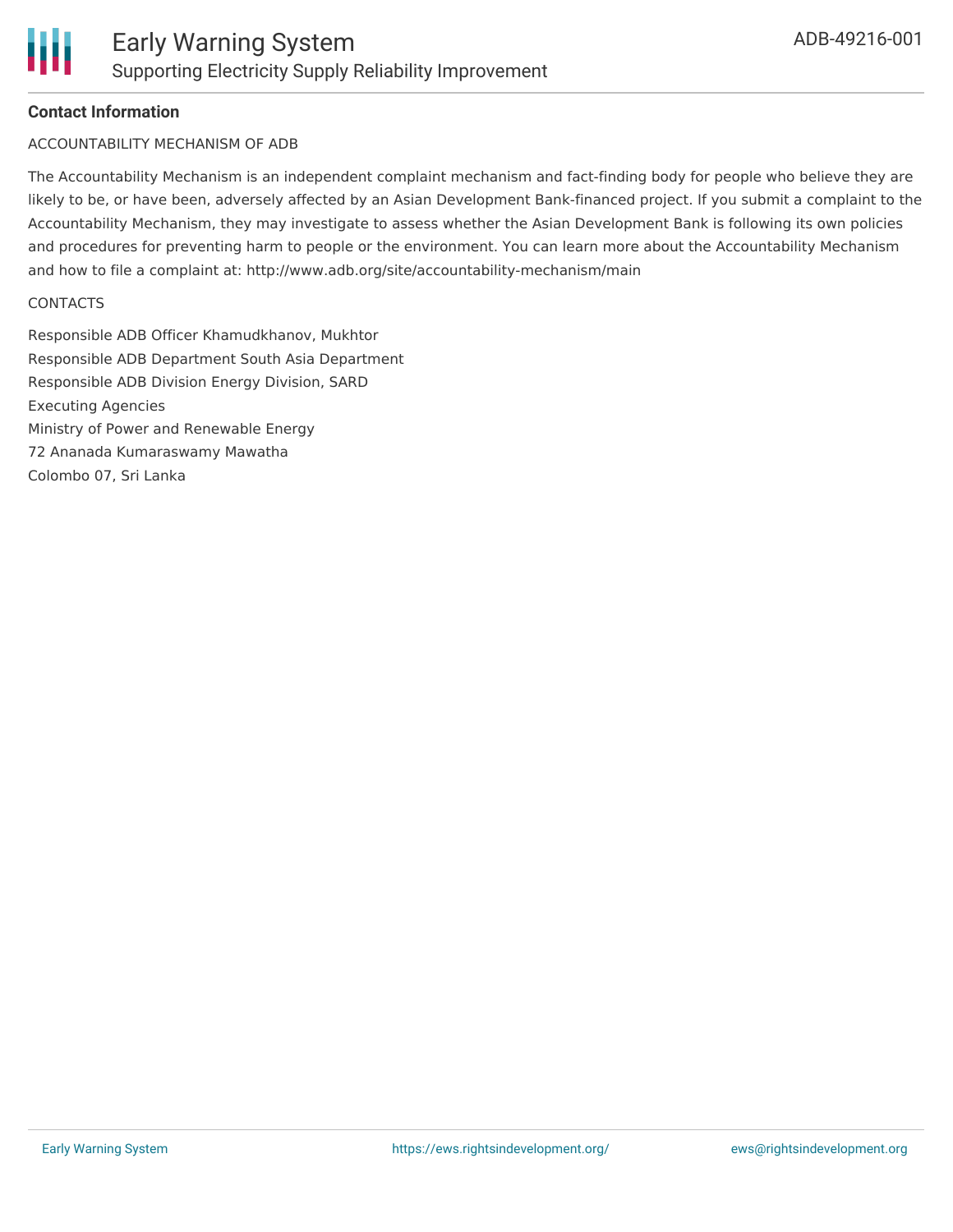# **Contact Information**

#### ACCOUNTABILITY MECHANISM OF ADB

The Accountability Mechanism is an independent complaint mechanism and fact-finding body for people who believe they are likely to be, or have been, adversely affected by an Asian Development Bank-financed project. If you submit a complaint to the Accountability Mechanism, they may investigate to assess whether the Asian Development Bank is following its own policies and procedures for preventing harm to people or the environment. You can learn more about the Accountability Mechanism and how to file a complaint at: http://www.adb.org/site/accountability-mechanism/main

#### **CONTACTS**

Responsible ADB Officer Khamudkhanov, Mukhtor Responsible ADB Department South Asia Department Responsible ADB Division Energy Division, SARD Executing Agencies Ministry of Power and Renewable Energy 72 Ananada Kumaraswamy Mawatha Colombo 07, Sri Lanka